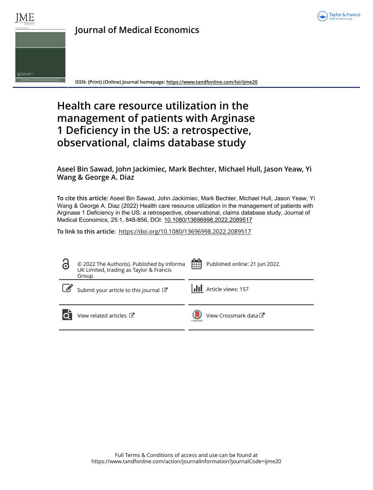



**ISSN: (Print) (Online) Journal homepage:<https://www.tandfonline.com/loi/ijme20>**

# **Health care resource utilization in the management of patients with Arginase 1 Deficiency in the US: a retrospective, observational, claims database study**

# **Aseel Bin Sawad, John Jackimiec, Mark Bechter, Michael Hull, Jason Yeaw, Yi Wang & George A. Diaz**

**To cite this article:** Aseel Bin Sawad, John Jackimiec, Mark Bechter, Michael Hull, Jason Yeaw, Yi Wang & George A. Diaz (2022) Health care resource utilization in the management of patients with Arginase 1 Deficiency in the US: a retrospective, observational, claims database study, Journal of Medical Economics, 25:1, 848-856, DOI: [10.1080/13696998.2022.2089517](https://www.tandfonline.com/action/showCitFormats?doi=10.1080/13696998.2022.2089517)

**To link to this article:** <https://doi.org/10.1080/13696998.2022.2089517>

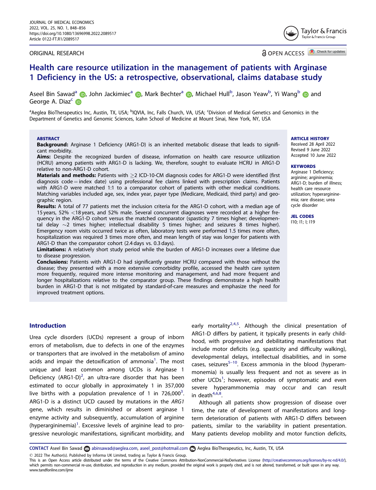### <span id="page-1-0"></span>ORIGINAL RESEARCH

OPEN ACCESS **A** Check for updates

Taylor & Francis Taylor & Francis Group

# Health care resource utilization in the management of patients with Arginase 1 Deficiency in the US: a retrospective, observational, claims database study

Aseel Bin Sawad<sup>a</sup> (D[,](http://orcid.org/0000-0001-6620-0716) John Jackimiec<sup>a</sup> (D, Mark Bechter<sup>a</sup> (D, Michael Hull<sup>b</sup>, Jason Yeaw<sup>b</sup>, Yi Wang<sup>b</sup> (D and George A. Diaz<sup>c</sup> iD

<sup>a</sup>Aeglea BioTherapeutics Inc, Austin, TX, USA; <sup>b</sup>IQVIA, Inc, Falls Church, VA, USA; <sup>c</sup>Division of Medical Genetics and Genomics in the Department of Genetics and Genomic Sciences, Icahn School of Medicine at Mount Sinai, New York, NY, USA

#### ABSTRACT

Background: Arginase 1 Deficiency (ARG1-D) is an inherited metabolic disease that leads to significant morbidity.

Aims: Despite the recognized burden of disease, information on health care resource utilization (HCRU) among patients with ARG1-D is lacking. We, therefore, sought to evaluate HCRU in ARG1-D relative to non-ARG1-D cohort.

Materials and methods: Patients with > 2 ICD-10-CM diagnosis codes for ARG1-D were identified (first  $di$ agnosis code  $=$  index date) using professional fee claims linked with prescription claims. Patients with ARG1-D were matched 1:1 to a comparator cohort of patients with other medical conditions. Matching variables included age, sex, index year, payer type (Medicare, Medicaid, third party) and geographic region.

Results: A total of 77 patients met the inclusion criteria for the ARG1-D cohort, with a median age of 15 years, 52% <18 years, and 52% male. Several concurrent diagnoses were recorded at a higher frequency in the ARG1-D cohort versus the matched comparator (spasticity 7 times higher; developmental delay  $\sim$ 2 times higher; intellectual disability 5 times higher; and seizures 8 times higher). Emergency room visits occurred twice as often, laboratory tests were performed 1.5 times more often, hospitalization was required 3 times more often, and mean length of stay was longer for patients with ARG1-D than the comparator cohort (2.4 days vs. 0.3 days).

Limitations: A relatively short study period while the burden of ARG1-D increases over a lifetime due to disease progression.

Conclusions: Patients with ARG1-D had significantly greater HCRU compared with those without the disease; they presented with a more extensive comorbidity profile, accessed the health care system more frequently, required more intense monitoring and management, and had more frequent and longer hospitalizations relative to the comparator group. These findings demonstrate a high health burden in ARG1-D that is not mitigated by standard-of-care measures and emphasize the need for improved treatment options.

ARTICLE HISTORY

Received 28 April 2022 Revised 9 June 2022 Accepted 10 June 2022

#### **KEYWORDS**

Arginase 1 Deficiency; arginine; argininemia; ARG1-D; burden of illness; health care resource utilization; hyperargininemia; rare disease; urea cycle disorder

JEL CODES I10; I1; I; I19

# Introduction

Urea cycle disorders (UCDs) represent a group of inborn errors of metabolism, due to defects in one of the enzymes or transporters that are involved in the metabolism of amino acids and impair the detoxification of ammonia<sup>[1](#page-8-0)</sup>. The most unique and least common among UCDs is Arginase 1 Deficiency (ARG1-D)<sup>[2](#page-8-0)</sup>, an ultra-rare disorder that has been estimated to occur globally in approximately 1 in 357,000 live births with a population prevalence of 1 in  $726,000^3$  $726,000^3$ . ARG1-D is a distinct UCD caused by mutations in the ARG1 gene, which results in diminished or absent arginase 1 enzyme activity and subsequently, accumulation of arginine (hyperargininemia) $^1$  $^1$ . Excessive levels of arginine lead to progressive neurologic manifestations, significant morbidity, and

early mortality<sup>[2,4](#page-8-0),[5](#page-8-0)</sup>. Although the clinical presentation of ARG1-D differs by patient, it typically presents in early childhood, with progressive and debilitating manifestations that include motor deficits (e.g. spasticity and difficulty walking), developmental delays, intellectual disabilities, and in some cases, seizures<sup>5-[10](#page-8-0)</sup>. Excess ammonia in the blood (hyperammonemia) is usually less frequent and not as severe as in other UCDs<sup>[1](#page-8-0)</sup>; however, episodes of symptomatic and even severe hyperammonemia may occur and can result in death $4,6,8$  $4,6,8$  $4,6,8$ .

Although all patients show progression of disease over time, the rate of development of manifestations and longterm deterioration of patients with ARG1-D differs between patients, similar to the variability in patient presentation. Many patients develop mobility and motor function deficits,

CONTACT Aseel Bin Sawad abinsawad@aeglea.com, aseel\_post@hotmail.com and Aeglea BioTherapeutics, Inc, Austin, TX, USA

2022 The Author(s). Published by Informa UK Limited, trading as Taylor & Francis Group.

This is an Open Access article distributed under the terms of the Creative Commons Attribution-NonCommercial-NoDerivatives License [\(http://creativecommons.org/licenses/by-nc-nd/4.0/](http://creativecommons.org/licenses/by-nc-nd/4.0/)), which permits non-commercial re-use, distribution, and reproduction in any medium, provided the original work is properly cited, and is not altered, transformed, or built upon in any way. www.tandfonline.com/ijme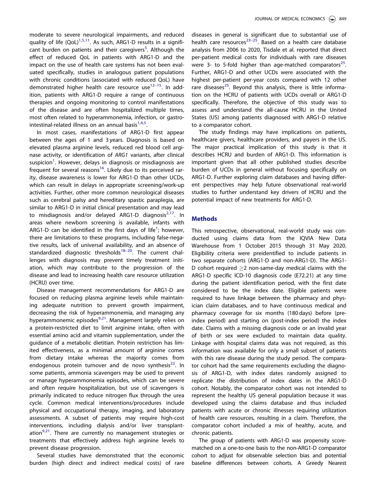<span id="page-2-0"></span>moderate to severe neurological impairments, and reduced quality of life  $(QoL)^{1,5,11}$  $(QoL)^{1,5,11}$  $(QoL)^{1,5,11}$  $(QoL)^{1,5,11}$  $(QoL)^{1,5,11}$ . As such, ARG1-D results in a signifi-cant burden on patients and their caregivers<sup>[5](#page-8-0)</sup>. Although the effect of reduced QoL in patients with ARG1-D and the impact on the use of health care systems has not been evaluated specifically, studies in analogous patient populations with chronic conditions (associated with reduced QoL) have demonstrated higher health care resource use<sup>[12](#page-8-0)-15</sup>. In addition, patients with ARG1-D require a range of continuous therapies and ongoing monitoring to control manifestations of the disease and are often hospitalized multiple times, most often related to hyperammonemia, infection, or gastrointestinal-related illness on an annual basis $^{1,4,5}$  $^{1,4,5}$  $^{1,4,5}$  $^{1,4,5}$  $^{1,4,5}$ .

In most cases, manifestations of ARG1-D first appear between the ages of 1 and 3 years. Diagnosis is based on elevated plasma arginine levels, reduced red blood cell arginase activity, or identification of ARG1 variants, after clinical suspicion $^{\rm 1}$  $^{\rm 1}$  $^{\rm 1}$ . However, delays in diagnosis or misdiagnosis are frequent for several reasons<sup>[16](#page-8-0)</sup>. Likely due to its perceived rarity, disease awareness is lower for ARG1-D than other UCDs, which can result in delays in appropriate screening/work-up activities. Further, other more common neurological diseases such as cerebral palsy and hereditary spastic paraplegia, are similar to ARG1-D in initial clinical presentation and may lead to misdiagnosis and/or delayed ARG1-D diagnosis $2,17$  $2,17$  $2,17$ . In areas where newborn screening is available, infants with ARG[1](#page-8-0)-D can be identified in the first days of life<sup>1</sup>; however, there are limitations to these programs, including false-negative results, lack of universal availability, and an absence of standardized diagnostic thresholds $18-20$  $18-20$ . The current challenges with diagnosis may prevent timely treatment initiation, which may contribute to the progression of the disease and lead to increasing health care resource utilization (HCRU) over time.

Disease management recommendations for ARG1-D are focused on reducing plasma arginine levels while maintaining adequate nutrition to prevent growth impairment, decreasing the risk of hyperammonemia, and managing any hyperammonemic episodes<sup>[9](#page-8-0),[21](#page-8-0)</sup>. Management largely relies on a protein-restricted diet to limit arginine intake, often with essential amino acid and vitamin supplementation, under the guidance of a metabolic dietitian. Protein restriction has limited effectiveness, as a minimal amount of arginine comes from dietary intake whereas the majority comes from endogenous protein turnover and de novo synthesis $^{22}$  $^{22}$  $^{22}$ . In some patients, ammonia scavengers may be used to prevent or manage hyperammonemia episodes, which can be severe and often require hospitalization, but use of scavengers is primarily indicated to reduce nitrogen flux through the urea cycle. Common medical interventions/procedures include physical and occupational therapy, imaging, and laboratory assessments. A subset of patients may require high-cost interventions, including dialysis and/or liver transplantation $9,21$  $9,21$  $9,21$ . There are currently no management strategies or treatments that effectively address high arginine levels to prevent disease progression.

Several studies have demonstrated that the economic burden (high direct and indirect medical costs) of rare diseases in general is significant due to substantial use of health care resources<sup>[23](#page-8-0)–25</sup>. Based on a health care database analysis from 2006 to 2020, Tisdale et al. reported that direct per-patient medical costs for individuals with rare diseases were 3- to 5-fold higher than age-matched comparators<sup>[25](#page-9-0)</sup>. Further, ARG1-D and other UCDs were associated with the highest per-patient per-year costs compared with 12 other rare diseases<sup>[25](#page-9-0)</sup>. Beyond this analysis, there is little information on the HCRU of patients with UCDs overall or ARG1-D specifically. Therefore, the objective of this study was to assess and understand the all-cause HCRU in the United States (US) among patients diagnosed with ARG1-D relative to a comparator cohort.

The study findings may have implications on patients, healthcare givers, healthcare providers, and payers in the US. The major practical implication of this study is that it describes HCRU and burden of ARG1-D. This information is important given that all other published studies describe burden of UCDs in general without focusing specifically on ARG1-D. Further exploring claim databases and having different perspectives may help future observational real-world studies to further understand key drivers of HCRU and the potential impact of new treatments for ARG1-D.

# Methods

This retrospective, observational, real-world study was conducted using claims data from the IQVIA New Data Warehouse from 1 October 2015 through 31 May 2020. Eligibility criteria were preidentified to include patients in two separate cohorts (ARG1-D and non-ARG1-D). The ARG1- D cohort required  $>2$  non-same-day medical claims with the ARG1-D specific ICD-10 diagnosis code (E72.21) at any time during the patient identification period, with the first date considered to be the index date. Eligible patients were required to have linkage between the pharmacy and physician claim databases, and to have continuous medical and pharmacy coverage for six months (180 days) before (preindex period) and starting on (post-index period) the index date. Claims with a missing diagnosis code or an invalid year of birth or sex were excluded to maintain data quality. Linkage with hospital claims data was not required, as this information was available for only a small subset of patients with this rare disease during the study period. The comparator cohort had the same requirements excluding the diagnosis of ARG1-D, with index dates randomly assigned to replicate the distribution of index dates in the ARG1-D cohort. Notably, the comparator cohort was not intended to represent the healthy US general population because it was developed using the claims database and thus included patients with acute or chronic illnesses requiring utilization of health care resources, resulting in a claim. Therefore, the comparator cohort included a mix of healthy, acute, and chronic patients.

The group of patients with ARG1-D was propensity scorematched on a one-to-one basis to the non-ARG1-D comparator cohort to adjust for observable selection bias and potential baseline differences between cohorts. A Greedy Nearest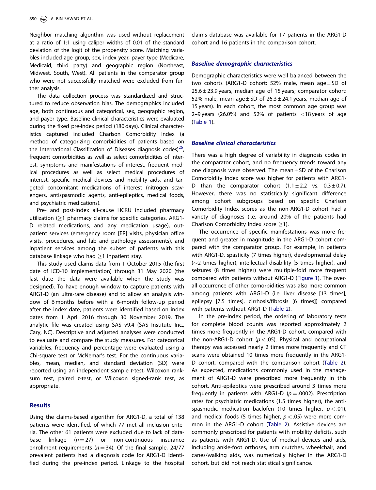<span id="page-3-0"></span>Neighbor matching algorithm was used without replacement at a ratio of 1:1 using caliper widths of 0.01 of the standard deviation of the logit of the propensity score. Matching variables included age group, sex, index year, payer type (Medicare, Medicaid, third party) and geographic region (Northeast, Midwest, South, West). All patients in the comparator group who were not successfully matched were excluded from further analysis.

The data collection process was standardized and structured to reduce observation bias. The demographics included age, both continuous and categorical, sex, geographic region, and payer type. Baseline clinical characteristics were evaluated during the fixed pre-index period (180 days). Clinical characteristics captured included Charlson Comorbidity Index (a method of categorizing comorbidities of patients based on the International Classification of Diseases diagnosis codes)<sup>[26](#page-9-0)</sup>, frequent comorbidities as well as select comorbidities of interest, symptoms and manifestations of interest, frequent medical procedures as well as select medical procedures of interest, specific medical devices and mobility aids, and targeted concomitant medications of interest (nitrogen scavengers, antispasmodic agents, anti-epileptics, medical foods, and psychiatric medications).

Pre- and post-index all-cause HCRU included pharmacy utilization  $(21$  pharmacy claims for specific categories, ARG1-D related medications, and any medication usage), outpatient services (emergency room [ER] visits, physician office visits, procedures, and lab and pathology assessments), and inpatient services among the subset of patients with this database linkage who had  $>1$  inpatient stay.

This study used claims data from 1 October 2015 (the first date of ICD-10 implementation) through 31 May 2020 (the last date the data were available when the study was designed). To have enough window to capture patients with ARG1-D (an ultra-rare disease) and to allow an analysis window of 6 months before with a 6-month follow-up period after the index date, patients were identified based on index dates from 1 April 2016 through 30 November 2019. The analytic file was created using SAS v9.4 (SAS Institute Inc., Cary, NC). Descriptive and adjusted analyses were conducted to evaluate and compare the study measures. For categorical variables, frequency and percentage were evaluated using a Chi-square test or McNemar's test. For the continuous variables, mean, median, and standard deviation (SD) were reported using an independent sample t-test, Wilcoxon ranksum test, paired t-test, or Wilcoxon signed-rank test, as appropriate.

### Results

Using the claims-based algorithm for ARG1-D, a total of 138 patients were identified, of which 77 met all inclusion criteria. The other 61 patients were excluded due to lack of database linkage  $(n = 27)$  or non-continuous insurance enrollment requirements ( $n = 34$ ). Of the final sample, 24/77 prevalent patients had a diagnosis code for ARG1-D identified during the pre-index period. Linkage to the hospital claims database was available for 17 patients in the ARG1-D cohort and 16 patients in the comparison cohort.

### Baseline demographic characteristics

Demographic characteristics were well balanced between the two cohorts (ARG1-D cohort: 52% male, mean age  $\pm$  SD of  $25.6 \pm 23.9$  years, median age of 15 years; comparator cohort: 52% male, mean age  $\pm$  SD of 26.3  $\pm$  24.1 years, median age of 15 years). In each cohort, the most common age group was 2–9 years (26.0%) and 52% of patients  $\langle$ 18 years of age [\(Table 1](#page-4-0)).

#### Baseline clinical characteristics

There was a high degree of variability in diagnosis codes in the comparator cohort, and no frequency trends toward any one diagnosis were observed. The mean  $\pm$  SD of the Charlson Comorbidity Index score was higher for patients with ARG1- D than the comparator cohort  $(1.1 \pm 2.2 \text{ vs. } 0.3 \pm 0.7)$ . However, there was no statistically significant difference among cohort subgroups based on specific Charlson Comorbidity Index scores as the non-ARG1-D cohort had a variety of diagnoses (i.e. around 20% of the patients had Charlson Comorbidity Index score  $\geq$ 1).

The occurrence of specific manifestations was more frequent and greater in magnitude in the ARG1-D cohort compared with the comparator group. For example, in patients with ARG1-D, spasticity (7 times higher), developmental delay  $(\sim)2$  times higher), intellectual disability (5 times higher), and seizures (8 times higher) were multiple-fold more frequent compared with patients without ARG1-D [\(Figure 1](#page-4-0)). The overall occurrence of other comorbidities was also more common among patients with ARG1-D (i.e. liver disease [13 times], epilepsy [7.5 times], cirrhosis/fibrosis [6 times]) compared with patients without ARG1-D [\(Table 2](#page-5-0)).

In the pre-index period, the ordering of laboratory tests for complete blood counts was reported approximately 2 times more frequently in the ARG1-D cohort, compared with the non-ARG1-D cohort ( $p < .05$ ). Physical and occupational therapy was accessed nearly 2 times more frequently and CT scans were obtained 10 times more frequently in the ARG1- D cohort, compared with the comparison cohort ([Table 2\)](#page-5-0). As expected, medications commonly used in the management of ARG1-D were prescribed more frequently in this cohort. Anti-epileptics were prescribed around 3 times more frequently in patients with ARG1-D ( $p = .0002$ ). Prescription rates for psychiatric medications (1.5 times higher), the antispasmodic medication baclofen (10 times higher,  $p < .01$ ), and medical foods (5 times higher,  $p < .05$ ) were more common in the ARG1-D cohort [\(Table 2](#page-5-0)). Assistive devices are commonly prescribed for patients with mobility deficits, such as patients with ARG1-D. Use of medical devices and aids, including ankle-foot orthoses, arm crutches, wheelchair, and canes/walking aids, was numerically higher in the ARG1-D cohort, but did not reach statistical significance.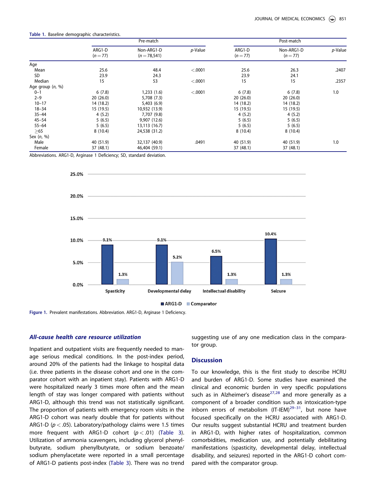|                    | Pre-match          |                               |         | Post-match         |                        |            |  |
|--------------------|--------------------|-------------------------------|---------|--------------------|------------------------|------------|--|
|                    | ARG1-D<br>$(n=77)$ | Non-ARG1-D<br>$(n = 78, 541)$ | p-Value | ARG1-D<br>$(n=77)$ | Non-ARG1-D<br>$(n=77)$ | $p$ -Value |  |
| Age                |                    |                               |         |                    |                        |            |  |
| Mean               | 25.6               | 48.4                          | < .0001 | 25.6               | 26.3                   | .2407      |  |
| SD                 | 23.9               | 24.3                          |         | 23.9               | 24.1                   |            |  |
| Median             | 15                 | 53                            | < .0001 | 15                 | 15                     | .2357      |  |
| Age group $(n, %)$ |                    |                               |         |                    |                        |            |  |
| $0 - 1$            | 6(7.8)             | 1,233(1.6)                    | < .0001 | 6(7.8)             | 6(7.8)                 | 1.0        |  |
| $2 - 9$            | 20(26.0)           | 5,708 (7.3)                   |         | 20(26.0)           | 20(26.0)               |            |  |
| $10 - 17$          | 14 (18.2)          | 5,403(6.9)                    |         | 14 (18.2)          | 14 (18.2)              |            |  |
| $18 - 34$          | 15 (19.5)          | 10,932 (13.9)                 |         | 15 (19.5)          | 15 (19.5)              |            |  |
| $35 - 44$          | 4(5.2)             | 7,707 (9.8)                   |         | 4(5.2)             | 4(5.2)                 |            |  |
| $45 - 54$          | 5(6.5)             | 9,907 (12.6)                  |         | 5(6.5)             | 5(6.5)                 |            |  |
| $55 - 64$          | 5(6.5)             | 13,113 (16.7)                 |         | 5(6.5)             | 5(6.5)                 |            |  |
| >65                | 8(10.4)            | 24,538 (31.2)                 |         | 8(10.4)            | 8(10.4)                |            |  |
| Sex $(n, %)$       |                    |                               |         |                    |                        |            |  |
| Male               | 40 (51.9)          | 32,137 (40.9)                 | .0491   | 40 (51.9)          | 40 (51.9)              | 1.0        |  |
| Female             | 37 (48.1)          | 46,404 (59.1)                 |         | 37 (48.1)          | 37 (48.1)              |            |  |

<span id="page-4-0"></span>Table 1. Baseline demographic characteristics.

Abbreviations. ARG1-D, Arginase 1 Deficiency; SD, standard deviation.





Figure 1. Prevalent manifestations. Abbreviation. ARG1-D, Arginase 1 Deficiency.

#### All-cause health care resource utilization

Inpatient and outpatient visits are frequently needed to manage serious medical conditions. In the post-index period, around 20% of the patients had the linkage to hospital data (i.e. three patients in the disease cohort and one in the comparator cohort with an inpatient stay). Patients with ARG1-D were hospitalized nearly 3 times more often and the mean length of stay was longer compared with patients without ARG1-D, although this trend was not statistically significant. The proportion of patients with emergency room visits in the ARG1-D cohort was nearly double that for patients without ARG1-D ( $p < .05$ ). Laboratory/pathology claims were 1.5 times more frequent with ARG1-D cohort  $(p < .01)$  ([Table 3](#page-6-0)). Utilization of ammonia scavengers, including glycerol phenylbutyrate, sodium phenylbutyrate, or sodium benzoate/ sodium phenylacetate were reported in a small percentage of ARG1-D patients post-index [\(Table 3](#page-6-0)). There was no trend suggesting use of any one medication class in the comparator group.

#### **Discussion**

To our knowledge, this is the first study to describe HCRU and burden of ARG1-D. Some studies have examined the clinical and economic burden in very specific populations such as in Alzheimer's disease<sup>[27,28](#page-9-0)</sup> and more generally as a component of a broader condition such as intoxication-type inborn errors of metabolism (IT-IEM) $^{29-31}$  $^{29-31}$  $^{29-31}$ , but none have focused specifically on the HCRU associated with ARG1-D. Our results suggest substantial HCRU and treatment burden in ARG1-D, with higher rates of hospitalization, common comorbidities, medication use, and potentially debilitating manifestations (spasticity, developmental delay, intellectual disability, and seizures) reported in the ARG1-D cohort compared with the comparator group.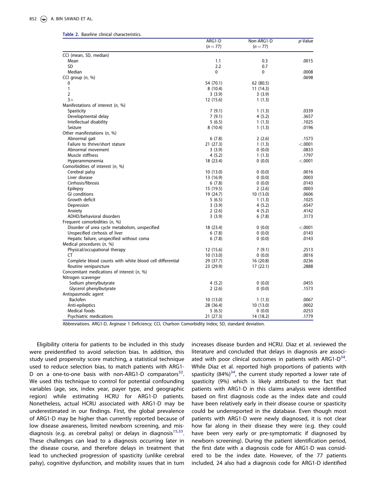| $(n=77)$<br>$(n=77)$<br>CCI (mean, SD, median)<br>Mean<br>1.1<br>0.3<br>SD<br>2.2<br>0.7<br>Median<br>0<br>0<br>CCI group $(n, %)$<br>0<br>54 (70.1)<br>62 (80.5) | .0015<br>.0008 |
|-------------------------------------------------------------------------------------------------------------------------------------------------------------------|----------------|
|                                                                                                                                                                   | .0698          |
|                                                                                                                                                                   |                |
|                                                                                                                                                                   |                |
|                                                                                                                                                                   |                |
|                                                                                                                                                                   |                |
|                                                                                                                                                                   |                |
|                                                                                                                                                                   |                |
| 1<br>8(10.4)<br>11(14.3)                                                                                                                                          |                |
| $\overline{2}$<br>3(3.9)<br>3(3.9)                                                                                                                                |                |
| $3+$<br>12 (15.6)<br>1(1.3)                                                                                                                                       |                |
| Manifestations of interest $(n, %)$                                                                                                                               |                |
| Spasticity<br>7(9.1)<br>1(1.3)                                                                                                                                    | .0339          |
| Developmental delay<br>7(9.1)<br>4(5.2)                                                                                                                           | .3657          |
| Intellectual disability<br>5(6.5)<br>1(1.3)                                                                                                                       | .1025          |
| Seizure<br>8(10.4)<br>1(1.3)                                                                                                                                      | .0196          |
| Other manifestations (n, %)                                                                                                                                       |                |
| Abnormal gait<br>6(7.8)<br>2(2.6)                                                                                                                                 | .1573          |
| Failure to thrive/short stature<br>21 (27.3)<br>1(1.3)                                                                                                            | < .0001        |
| Abnormal movement<br>0(0.0)<br>3(3.9)                                                                                                                             | .0833          |
| Muscle stiffness<br>4(5.2)<br>1(1.3)                                                                                                                              | .1797          |
| Hyperammonemia<br>18 (23.4)<br>0(0.0)                                                                                                                             | < .0001        |
| Comorbidities of interest (n, %)                                                                                                                                  |                |
| Cerebral palsy<br>10(13.0)<br>0(0.0)                                                                                                                              | .0016          |
| Liver disease<br>13 (16.9)<br>0(0.0)                                                                                                                              | .0003          |
| Cirrhosis/fibrosis<br>6(7.8)<br>0(0.0)                                                                                                                            | .0143          |
| Epilepsy<br>15 (19.5)<br>2(2.6)                                                                                                                                   | .0003          |
| <b>GI</b> conditions<br>19 (24.7)<br>10 (13.0)                                                                                                                    | .0606          |
| Growth deficit<br>5(6.5)<br>1(1.3)                                                                                                                                | .1025          |
| Depression<br>3(3.9)<br>4(5.2)                                                                                                                                    | .6547          |
| Anxiety<br>2(2.6)<br>4(5.2)                                                                                                                                       | .4142          |
| ADHD/behavioral disorders<br>3(3.9)<br>6(7.8)                                                                                                                     | .3173          |
| Frequent comorbidities (n, %)                                                                                                                                     |                |
| Disorder of urea cycle metabolism, unspecified<br>18 (23.4)<br>0(0.0)                                                                                             | < .0001        |
| Unspecified cirrhosis of liver<br>0(0.0)<br>6(7.8)                                                                                                                | .0143          |
| Hepatic failure, unspecified without coma<br>6(7.8)<br>0(0.0)                                                                                                     | .0143          |
| Medical procedures (n, %)                                                                                                                                         |                |
| Physical/occupational therapy<br>12 (15.6)<br>7(9.1)                                                                                                              | .2513          |
| СT<br>10(13.0)<br>0(0.0)                                                                                                                                          | .0016          |
| Complete blood counts with white blood cell differential<br>29 (37.7)<br>16(20.8)                                                                                 | .0236          |
| Routine venipuncture<br>23 (29.9)<br>17(22.1)                                                                                                                     | .2888          |
| Concomitant medications of interest (n, %)                                                                                                                        |                |
| Nitrogen scavenger                                                                                                                                                |                |
| Sodium phenylbutyrate<br>4(5.2)<br>0(0.0)                                                                                                                         | .0455          |
| Glycerol phenylbutyrate<br>0(0.0)<br>2(2.6)                                                                                                                       | .1573          |
| Antispasmodic agent                                                                                                                                               |                |
| <b>Baclofen</b><br>10 (13.0)<br>1(1.3)                                                                                                                            | .0067          |
| Anti-epileptics<br>10 (13.0)<br>28 (36.4)                                                                                                                         | .0002          |
| Medical foods<br>5(6.5)<br>0(0.0)                                                                                                                                 | .0253          |
| Psychiatric medications<br>21 (27.3)<br>14 (18.2)                                                                                                                 | .1779          |

<span id="page-5-0"></span>Table 2. Baseline clinical characteristics.

Abbreviations. ARG1-D, Arginase 1 Deficiency; CCI, Charlson Comorbidity Index; SD, standard deviation.

Eligibility criteria for patients to be included in this study were preidentified to avoid selection bias. In addition, this study used propensity score matching, a statistical technique used to reduce selection bias, to match patients with ARG1- D on a one-to-one basis with non-ARG1-D comparators<sup>[32](#page-9-0)</sup>. We used this technique to control for potential confounding variables (age, sex, index year, payer type, and geographic region) while estimating HCRU for ARG1-D patients. Nonetheless, actual HCRU associated with ARG1-D may be underestimated in our findings. First, the global prevalence of ARG1-D may be higher than currently reported because of low disease awareness, limited newborn screening, and mis-diagnosis (e.g. as cerebral palsy) or delays in diagnosis<sup>[15](#page-8-0)[,33](#page-9-0)</sup>. These challenges can lead to a diagnosis occurring later in the disease course, and therefore delays in treatment that lead to unchecked progression of spasticity (unlike cerebral palsy), cognitive dysfunction, and mobility issues that in turn

increases disease burden and HCRU. Diaz et al. reviewed the literature and concluded that delays in diagnosis are associated with poor clinical outcomes in patients with ARG1-D $^{34}$  $^{34}$  $^{34}$ . While Diaz et al. reported high proportions of patients with spasticity  $(84\%)^{34}$  $(84\%)^{34}$  $(84\%)^{34}$ , the current study reported a lower rate of spasticity (9%) which is likely attributed to the fact that patients with ARG1-D in this claims analysis were identified based on first diagnosis code as the index date and could have been relatively early in their disease course or spasticity could be underreported in the database. Even though most patients with ARG1-D were newly diagnosed, it is not clear how far along in their disease they were (e.g. they could have been very early or pre-symptomatic if diagnosed by newborn screening). During the patient identification period, the first date with a diagnosis code for ARG1-D was considered to be the index date. However, of the 77 patients included, 24 also had a diagnosis code for ARG1-D identified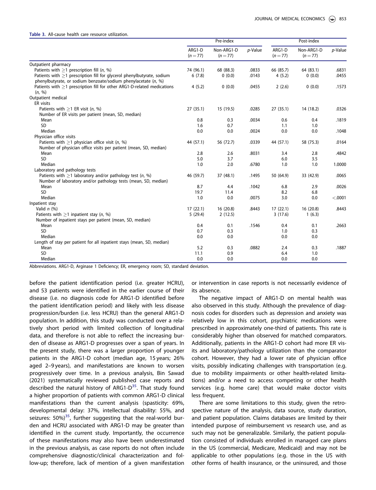<span id="page-6-0"></span>Table 3. All-cause health care resource utilization.

|                                                                         | Pre-index          |                        |            | Post-index         |                        |            |
|-------------------------------------------------------------------------|--------------------|------------------------|------------|--------------------|------------------------|------------|
|                                                                         | ARG1-D<br>$(n=77)$ | Non-ARG1-D<br>$(n=77)$ | $p$ -Value | ARG1-D<br>$(n=77)$ | Non-ARG1-D<br>$(n=77)$ | $p$ -Value |
| Outpatient pharmacy                                                     |                    |                        |            |                    |                        |            |
| Patients with $\geq$ 1 prescription fill (n, %)                         | 74 (96.1)          | 68 (88.3)              | .0833      | 66 (85.7)          | 64 (83.1)              | .6831      |
| Patients with >1 prescription fill for glycerol phenylbutyrate, sodium  | 6(7.8)             | 0(0.0)                 | .0143      | 4(5.2)             | 0(0.0)                 | .0455      |
| phenylbutyrate, or sodium benzoate/sodium phenylacetate (n, %)          |                    |                        |            |                    |                        |            |
| Patients with >1 prescription fill for other ARG1-D-related medications | 4(5.2)             | 0(0.0)                 | .0455      | 2(2.6)             | 0(0.0)                 | .1573      |
| (n, %)                                                                  |                    |                        |            |                    |                        |            |
| Outpatient medical                                                      |                    |                        |            |                    |                        |            |
| ER visits                                                               |                    |                        |            |                    |                        |            |
| Patients with $>1$ ER visit (n, %)                                      | 27 (35.1)          | 15 (19.5)              | .0285      | 27(35.1)           | 14 (18.2)              | .0326      |
| Number of ER visits per patient (mean, SD, median)                      |                    |                        |            |                    |                        |            |
| Mean                                                                    | 0.8                | 0.3                    | .0034      | 0.6                | 0.4                    | .1819      |
| <b>SD</b>                                                               | 1.6                | 0.7                    |            | 1.1                | 1.0                    |            |
| Median                                                                  | 0.0                | 0.0                    | .0024      | 0.0                | 0.0                    | .1048      |
| Physician office visits                                                 |                    |                        |            |                    |                        |            |
| Patients with $>1$ physician office visit (n, %)                        | 44 (57.1)          | 56 (72.7)              | .0339      | 44 (57.1)          | 58 (75.3)              | .0164      |
| Number of physician office visits per patient (mean, SD, median)        |                    |                        |            |                    |                        |            |
| Mean                                                                    | 2.8                | 2.6                    | .8031      | 3.4                | 2.8                    | .4842      |
| SD                                                                      | 5.0                | 3.7                    |            | 6.0                | 3.5                    |            |
| Median                                                                  | 1.0                | 2.0                    | .6780      | 1.0                | 1.0                    | 1.0000     |
| Laboratory and pathology tests                                          |                    |                        |            |                    |                        |            |
| Patients with $>1$ laboratory and/or pathology test (n, %)              | 46 (59.7)          | 37 (48.1)              | .1495      | 50 (64.9)          | 33 (42.9)              | .0065      |
| Number of laboratory and/or pathology tests (mean, SD, median)          |                    |                        |            |                    |                        |            |
| Mean                                                                    | 8.7                | 4.4                    | .1042      | 6.8                | 2.9                    | .0026      |
| <b>SD</b>                                                               | 19.7               | 11.4                   |            | 8.2                | 6.8                    |            |
| Median                                                                  | 1.0                | 0.0                    | .0075      | 3.0                | 0.0                    | < .0001    |
| Inpatient stay                                                          |                    |                        |            |                    |                        |            |
| Valid $n$ (%)                                                           | 17(22.1)           | 16(20.8)               | .8443      | 17(22.1)           | 16(20.8)               | .8443      |
| Patients with $>1$ inpatient stay (n, %)                                | 5(29.4)            | 2(12.5)                |            | 3(17.6)            | 1(6.3)                 |            |
| Number of inpatient stays per patient (mean, SD, median)                |                    |                        |            |                    |                        |            |
| Mean                                                                    | 0.4                | 0.1                    | .1546      | 0.4                | 0.1                    | .2663      |
| SD                                                                      | 0.7                | 0.3                    |            | 1.0                | 0.3                    |            |
| Median                                                                  | 0.0                | 0.0                    |            | 0.0                | 0.0                    |            |
| Length of stay per patient for all inpatient stays (mean, SD, median)   |                    |                        |            |                    |                        |            |
| Mean                                                                    | 5.2                | 0.3                    | .0882      | 2.4                | 0.3                    | .1887      |
| <b>SD</b>                                                               | 11.1               | 0.9                    |            | 6.4                | 1.0                    |            |
| Median                                                                  | 0.0                | 0.0                    |            | 0.0                | 0.0                    |            |

Abbreviations. ARG1-D, Arginase 1 Deficiency; ER, emergency room; SD, standard deviation.

before the patient identification period (i.e. greater HCRU), and 53 patients were identified in the earlier course of their disease (i.e. no diagnosis code for ARG1-D identified before the patient identification period) and likely with less disease progression/burden (i.e. less HCRU) than the general ARG1-D population. In addition, this study was conducted over a relatively short period with limited collection of longitudinal data, and therefore is not able to reflect the increasing burden of disease as ARG1-D progresses over a span of years. In the present study, there was a larger proportion of younger patients in the ARG1-D cohort (median age, 15 years; 26% aged 2–9 years), and manifestations are known to worsen progressively over time. In a previous analysis, Bin Sawad (2021) systematically reviewed published case reports and described the natural history of ARG1- $D<sup>35</sup>$  $D<sup>35</sup>$  $D<sup>35</sup>$ . That study found a higher proportion of patients with common ARG1-D clinical manifestations than the current analysis (spasticity: 69%, developmental delay: 37%, intellectual disability: 55%, and seizures:  $50\%$ <sup>[35](#page-9-0)</sup>, further suggesting that the real-world burden and HCRU associated with ARG1-D may be greater than identified in the current study. Importantly, the occurrence of these manifestations may also have been underestimated in the previous analysis, as case reports do not often include comprehensive diagnostic/clinical characterization and follow-up; therefore, lack of mention of a given manifestation or intervention in case reports is not necessarily evidence of its absence.

The negative impact of ARG1-D on mental health was also observed in this study. Although the prevalence of diagnosis codes for disorders such as depression and anxiety was relatively low in this cohort, psychiatric medications were prescribed in approximately one-third of patients. This rate is considerably higher than observed for matched comparators. Additionally, patients in the ARG1-D cohort had more ER visits and laboratory/pathology utilization than the comparator cohort. However, they had a lower rate of physician office visits, possibly indicating challenges with transportation (e.g. due to mobility impairments or other health-related limitations) and/or a need to access competing or other health services (e.g. home care) that would make doctor visits less frequent.

There are some limitations to this study, given the retrospective nature of the analysis, data source, study duration, and patient population. Claims databases are limited by their intended purpose of reimbursement vs research use, and as such may not be generalizable. Similarly, the patient population consisted of individuals enrolled in managed care plans in the US (commercial, Medicare, Medicaid) and may not be applicable to other populations (e.g. those in the US with other forms of health insurance, or the uninsured, and those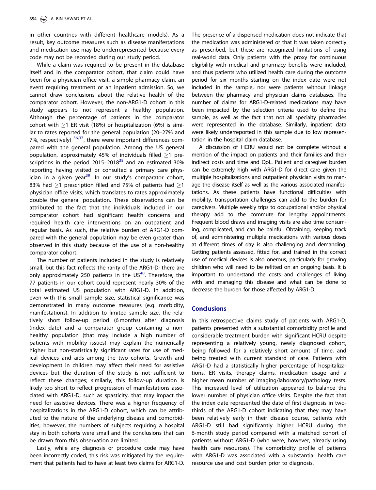<span id="page-7-0"></span>in other countries with different healthcare models). As a result, key outcome measures such as disease manifestations and medication use may be underrepresented because every code may not be recorded during our study period.

While a claim was required to be present in the database itself and in the comparator cohort, that claim could have been for a physician office visit, a simple pharmacy claim, an event requiring treatment or an inpatient admission. So, we cannot draw conclusions about the relative health of the comparator cohort. However, the non-ARG1-D cohort in this study appears to not represent a healthy population. Although the percentage of patients in the comparator cohort with  $\geq$ 1 ER visit (18%) or hospitalization (6%) is similar to rates reported for the general population (20–27% and 7%, respectively)  $36,37$  $36,37$  $36,37$ , there were important differences compared with the general population. Among the US general population, approximately 45% of individuals filled  $>1$  pre-scriptions in the period 2015–2018<sup>[38](#page-9-0)</sup> and an estimated 30% reporting having visited or consulted a primary care phys-ician in a given year<sup>[39](#page-9-0)</sup>. In our study's comparator cohort, 83% had  $\geq$ 1 prescription filled and 75% of patients had  $\geq$ 1 physician office visits, which translates to rates approximately double the general population. These observations can be attributed to the fact that the individuals included in our comparator cohort had significant health concerns and required health care interventions on an outpatient and regular basis. As such, the relative burden of ARG1-D compared with the general population may be even greater than observed in this study because of the use of a non-healthy comparator cohort.

The number of patients included in the study is relatively small, but this fact reflects the rarity of the ARG1-D; there are only approximately 250 patients in the  $US<sup>40</sup>$  $US<sup>40</sup>$  $US<sup>40</sup>$ . Therefore, the 77 patients in our cohort could represent nearly 30% of the total estimated US population with ARG1-D. In addition, even with this small sample size, statistical significance was demonstrated in many outcome measures (e.g. morbidity, manifestations). In addition to limited sample size, the relatively short follow-up period (6 months) after diagnosis (index date) and a comparator group containing a nonhealthy population (that may include a high number of patients with mobility issues) may explain the numerically higher but non-statistically significant rates for use of medical devices and aids among the two cohorts. Growth and development in children may affect their need for assistive devices but the duration of the study is not sufficient to reflect these changes; similarly, this follow-up duration is likely too short to reflect progression of manifestations associated with ARG1-D, such as spasticity, that may impact the need for assistive devices. There was a higher frequency of hospitalizations in the ARG1-D cohort, which can be attributed to the nature of the underlying disease and comorbidities; however, the numbers of subjects requiring a hospital stay in both cohorts were small and the conclusions that can be drawn from this observation are limited.

Lastly, while any diagnosis or procedure code may have been incorrectly coded, this risk was mitigated by the requirement that patients had to have at least two claims for ARG1-D. The presence of a dispensed medication does not indicate that the medication was administered or that it was taken correctly as prescribed, but these are recognized limitations of using real-world data. Only patients with the proxy for continuous eligibility with medical and pharmacy benefits were included, and thus patients who utilized health care during the outcome period for six months starting on the index date were not included in the sample, nor were patients without linkage between the pharmacy and physician claims databases. The number of claims for ARG1-D-related medications may have been impacted by the selection criteria used to define the sample, as well as the fact that not all specialty pharmacies were represented in the database. Similarly, inpatient data were likely underreported in this sample due to low representation in the hospital claim database.

A discussion of HCRU would not be complete without a mention of the impact on patients and their families and their indirect costs and time and QoL. Patient and caregiver burden can be extremely high with ARG1-D for direct care given the multiple hospitalizations and outpatient physician visits to manage the disease itself as well as the various associated manifestations. As these patients have functional difficulties with mobility, transportation challenges can add to the burden for caregivers. Multiple weekly trips to occupational and/or physical therapy add to the commute for lengthy appointments. Frequent blood draws and imaging visits are also time consuming, complicated, and can be painful. Obtaining, keeping track of, and administering multiple medications with various doses at different times of day is also challenging and demanding. Getting patients assessed, fitted for, and trained in the correct use of medical devices is also onerous, particularly for growing children who will need to be refitted on an ongoing basis. It is important to understand the costs and challenges of living with and managing this disease and what can be done to decrease the burden for those affected by ARG1-D.

# **Conclusions**

In this retrospective claims study of patients with ARG1-D, patients presented with a substantial comorbidity profile and considerable treatment burden with significant HCRU despite representing a relatively young, newly diagnosed cohort, being followed for a relatively short amount of time, and being treated with current standard of care. Patients with ARG1-D had a statistically higher percentage of hospitalizations, ER visits, therapy claims, medication usage and a higher mean number of imaging/laboratory/pathology tests. This increased level of utilization appeared to balance the lower number of physician office visits. Despite the fact that the index date represented the date of first diagnosis in twothirds of the ARG1-D cohort indicating that they may have been relatively early in their disease course, patients with ARG1-D still had significantly higher HCRU during the 6-month study period compared with a matched cohort of patients without ARG1-D (who were, however, already using health care resources). The comorbidity profile of patients with ARG1-D was associated with a substantial health care resource use and cost burden prior to diagnosis.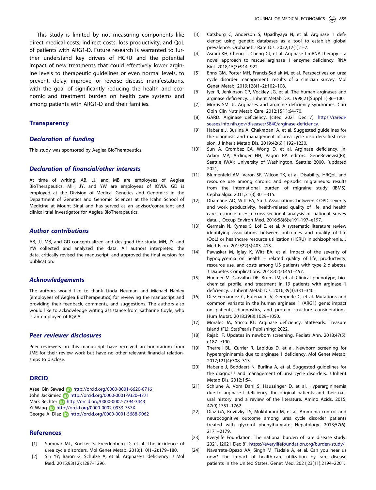<span id="page-8-0"></span>This study is limited by not measuring components like direct medical costs, indirect costs, loss productivity, and QoL of patients with ARG1-D. Future research is warranted to further understand key drivers of HCRU and the potential impact of new treatments that could effectively lower arginine levels to therapeutic guidelines or even normal levels, to prevent, delay, improve, or reverse disease manifestations, with the goal of significantly reducing the health and economic and treatment burden on health care systems and among patients with ARG1-D and their families.

#### **Transparency**

## Declaration of funding

This study was sponsored by Aeglea BioTherapeutics.

#### Declaration of financial/other interests

At time of writing, AB, JJ, and MB are employees of Aeglea BioTherapeutics. MH, JY, and YW are employees of IQVIA. GD is employed at the Division of Medical Genetics and Genomics in the Department of Genetics and Genomic Sciences at the Icahn School of Medicine at Mount Sinai and has served as an advisor/consultant and clinical trial investigator for Aeglea BioTherapeutics.

#### Author contributions

AB, JJ, MB, and GD conceptualized and designed the study. MH, JY, and YW collected and analyzed the data. All authors interpreted the data, critically revised the manuscript, and approved the final version for publication.

#### Acknowledgements

The authors would like to thank Linda Neuman and Michael Hanley (employees of Aeglea BioTherapeutics) for reviewing the manuscript and providing their feedback, comments, and suggestions. The authors also would like to acknowledge writing assistance from Katharine Coyle, who is an employee of IQVIA.

#### Peer reviewer disclosures

Peer reviewers on this manuscript have received an honorarium from JME for their review work but have no other relevant financial relationships to disclose.

#### **ORCID**

Aseel Bin Sawad **http://orcid.org/0000-0001-6620-0716** John Jackimiec **iD** http://orcid.org/0000-0001-9320-4771 Mark Bechter **b** http://orcid.org/0000-0002-7394-3443 Yi Wang **b** http://orcid.org/0000-0002-0933-757X George A. Diaz **b** http://orcid.org/0000-0001-5688-9062

### References

- [\[1\] S](#page-1-0)ummar ML, Koelker S, Freedenberg D, et al. The incidence of urea cycle disorders. Mol Genet Metab. 2013;110(1–2):179–180.
- [\[2\] S](#page-1-0)in YY, Baron G, Schulze A, et al. Arginase-1 deficiency. J Mol Med. 2015;93(12):1287–1296.
- [\[3\] C](#page-1-0)atsburg C, Anderson S, Upadhyaya N, et al. Arginase 1 deficiency: using genetic databases as a tool to establish global prevalence. Orphanet J Rare Dis. 2022;17(1):1–7.
- [\[4\] A](#page-1-0)srani KH, Cheng L, Cheng CJ, et al. Arginase I mRNA therapy a novel approach to rescue arginase 1 enzyme deficiency. RNA Biol. 2018;15(7):914–922.
- [\[5\] E](#page-1-0)nns GM, Porter MH, Francis-Sedlak M, et al. Perspectives on urea cycle disorder management: results of a clinician survey. Mol Genet Metab. 2019;128(1–2):102–108.
- [\[6\] I](#page-1-0)yer R, Jenkinson CP, Vockley JG, et al. The human arginases and arginase deficiency. J Inherit Metab Dis. 1998;21(Suppl 1):86–100.
- [7] Morris SM. Jr. Arginases and arginine deficiency syndromes. Curr Opin Clin Nutr Metab Care. 2012;15(1):64–70.
- [\[8\] G](#page-1-0)ARD. Arginase deficiency. [cited 2021 Dec 7]. [https://raredi](https://rarediseases.info.nih.gov/diseases/5840/arginase-deficiency)[seases.info.nih.gov/diseases/5840/arginase-deficiency.](https://rarediseases.info.nih.gov/diseases/5840/arginase-deficiency)
- [\[9\] H](#page-2-0)aberle J, Burlina A, Chakrapani A, et al. Suggested guidelines for the diagnosis and management of urea cycle disorders: first revision. J Inherit Metab Dis. 2019;42(6):1192–1230.
- [10] Sun A, Crombez EA, Wong D, et al. Arginase deficiency. In: Adam MP, Ardinger HH, Pagon RA editors. GeneReviews((R)). Seattle (WA): University of Washington, Seattle; 2000. [updated 2021].
- [\[11\] B](#page-2-0)lumenfeld AM, Varon SF, Wilcox TK, et al. Disability, HRQoL and resource use among chronic and episodic migraineurs: results from the international burden of migraine study (IBMS). Cephalalgia. 2011;31(3):301–315.
- [\[12\] D](#page-2-0)hamane AD, Witt EA, Su J. Associations between COPD severity and work productivity, health-related quality of life, and health care resource use: a cross-sectional analysis of national survey data. J Occup Environ Med. 2016;58(6):e191-197–e197.
- [13] Germain N, Kymes S, Löf E, et al. A systematic literature review identifying associations between outcomes and quality of life (QoL) or healthcare resource utilization (HCRU) in schizophrenia. J Med Econ. 2019;22(5):403–413.
- [14] Pawaskar M, Iglay K, Witt EA, et al. Impact of the severity of hypoglycemia on health – related quality of life, productivity, resource use, and costs among US patients with type 2 diabetes. J Diabetes Complications. 2018;32(5):451–457.
- [\[15\] H](#page-5-0)uemer M, Carvalho DR, Brum JM, et al. Clinical phenotype, biochemical profile, and treatment in 19 patients with arginase 1 deficiency. J Inherit Metab Dis. 2016;39(3):331–340.
- [\[16\] D](#page-2-0)iez-Fernandez C, Rüfenacht V, Gemperle C, et al. Mutations and common variants in the human arginase 1 (ARG1) gene: impact on patients, diagnostics, and protein structure considerations. Hum Mutat. 2018;39(8):1029–1050.
- [\[17\] M](#page-2-0)orales JA, Sticco KL. Arginase deficiency. StatPearls. Treasure Island (FL): StatPearls Publishing; 2022.
- [\[18\] R](#page-2-0)ajabi F. Updates in newborn screening. Pediatr Ann. 2018;47(5): e187–e190.
- [19] Therrell BL, Currier R, Lapidus D, et al. Newborn screening for hyperargininemia due to arginase 1 deficiency. Mol Genet Metab. 2017;121(4):308–313.
- [20] Haberle J, Boddaert N, Burlina A, et al. Suggested guidelines for the diagnosis and management of urea cycle disorders. J Inherit Metab Dis. 2012;1:S4.
- [\[21\] S](#page-2-0)chlune A, Vom Dahl S, Häussinger D, et al. Hyperargininemia due to arginase I deficiency: the original patients and their natural history, and a review of the literature. Amino Acids. 2015; 47(9):1751–1762.
- [\[22\] D](#page-2-0)iaz GA, Krivitzky LS, Mokhtarani M, et al. Ammonia control and neurocognitive outcome among urea cycle disorder patients treated with glycerol phenylbutyrate. Hepatology. 2013;57(6): 2171–2179.
- [\[23\] E](#page-2-0)verylife Foundation. The national burden of rare disease study. 2021. [2021 Dec 8]. <https://everylifefoundation.org/burden-study/>.
- [24] Navarrete-Opazo AA, Singh M, Tisdale A, et al. Can you hear us now? The impact of health-care utilization by rare disease patients in the United States. Genet Med. 2021;23(11):2194–2201.